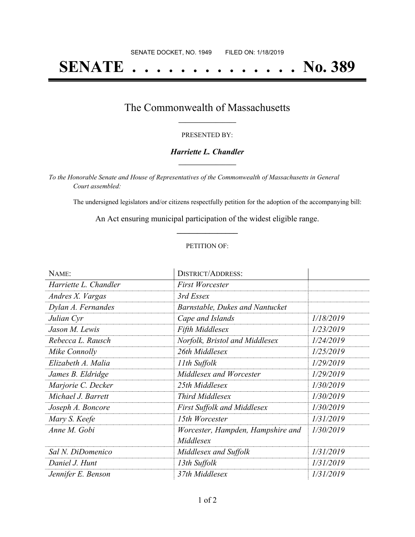# **SENATE . . . . . . . . . . . . . . No. 389**

### The Commonwealth of Massachusetts **\_\_\_\_\_\_\_\_\_\_\_\_\_\_\_\_\_**

#### PRESENTED BY:

#### *Harriette L. Chandler* **\_\_\_\_\_\_\_\_\_\_\_\_\_\_\_\_\_**

*To the Honorable Senate and House of Representatives of the Commonwealth of Massachusetts in General Court assembled:*

The undersigned legislators and/or citizens respectfully petition for the adoption of the accompanying bill:

An Act ensuring municipal participation of the widest eligible range. **\_\_\_\_\_\_\_\_\_\_\_\_\_\_\_**

#### PETITION OF:

| NAME:                 | <b>DISTRICT/ADDRESS:</b>           |           |
|-----------------------|------------------------------------|-----------|
| Harriette L. Chandler | <b>First Worcester</b>             |           |
| Andres X. Vargas      | 3rd Essex                          |           |
| Dylan A. Fernandes    | Barnstable, Dukes and Nantucket    |           |
| Julian Cyr            | Cape and Islands                   | 1/18/2019 |
| Jason M. Lewis        | <b>Fifth Middlesex</b>             | 1/23/2019 |
| Rebecca L. Rausch     | Norfolk, Bristol and Middlesex     | 1/24/2019 |
| Mike Connolly         | 26th Middlesex                     | 1/25/2019 |
| Elizabeth A. Malia    | 11th Suffolk                       | 1/29/2019 |
| James B. Eldridge     | Middlesex and Worcester            | 1/29/2019 |
| Marjorie C. Decker    | 25th Middlesex                     | 1/30/2019 |
| Michael J. Barrett    | Third Middlesex                    | 1/30/2019 |
| Joseph A. Boncore     | <b>First Suffolk and Middlesex</b> | 1/30/2019 |
| Mary S. Keefe         | 15th Worcester                     | 1/31/2019 |
| Anne M. Gobi          | Worcester, Hampden, Hampshire and  | 1/30/2019 |
|                       | Middlesex                          |           |
| Sal N. DiDomenico     | Middlesex and Suffolk              | 1/31/2019 |
| Daniel J. Hunt        | 13th Suffolk                       | 1/31/2019 |
| Jennifer E. Benson    | 37th Middlesex                     | 1/31/2019 |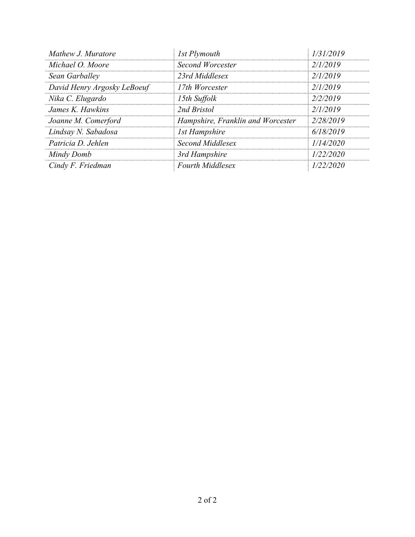| Mathew J. Muratore          | 1st Plymouth                      | 1/31/2019 |
|-----------------------------|-----------------------------------|-----------|
| Michael O. Moore            | Second Worcester                  | 2/1/2019  |
| Sean Garballey              | 23rd Middlesex                    | 2/1/2019  |
| David Henry Argosky LeBoeuf | 17th Worcester                    | 2/1/2019  |
| Nika C. Elugardo            | 15th Suffolk                      | 2/2/2019  |
| James K. Hawkins            | 2nd Bristol                       | 2/1/2019  |
| Joanne M. Comerford         | Hampshire, Franklin and Worcester | 2/28/2019 |
| Lindsay N. Sabadosa         | <b>1st Hampshire</b>              | 6/18/2019 |
| Patricia D. Jehlen          | Second Middlesex                  | 1/14/2020 |
| Mindy Domb                  | 3rd Hampshire                     | 1/22/2020 |
| Cindy F. Friedman           | <b>Fourth Middlesex</b>           | 1/22/2020 |